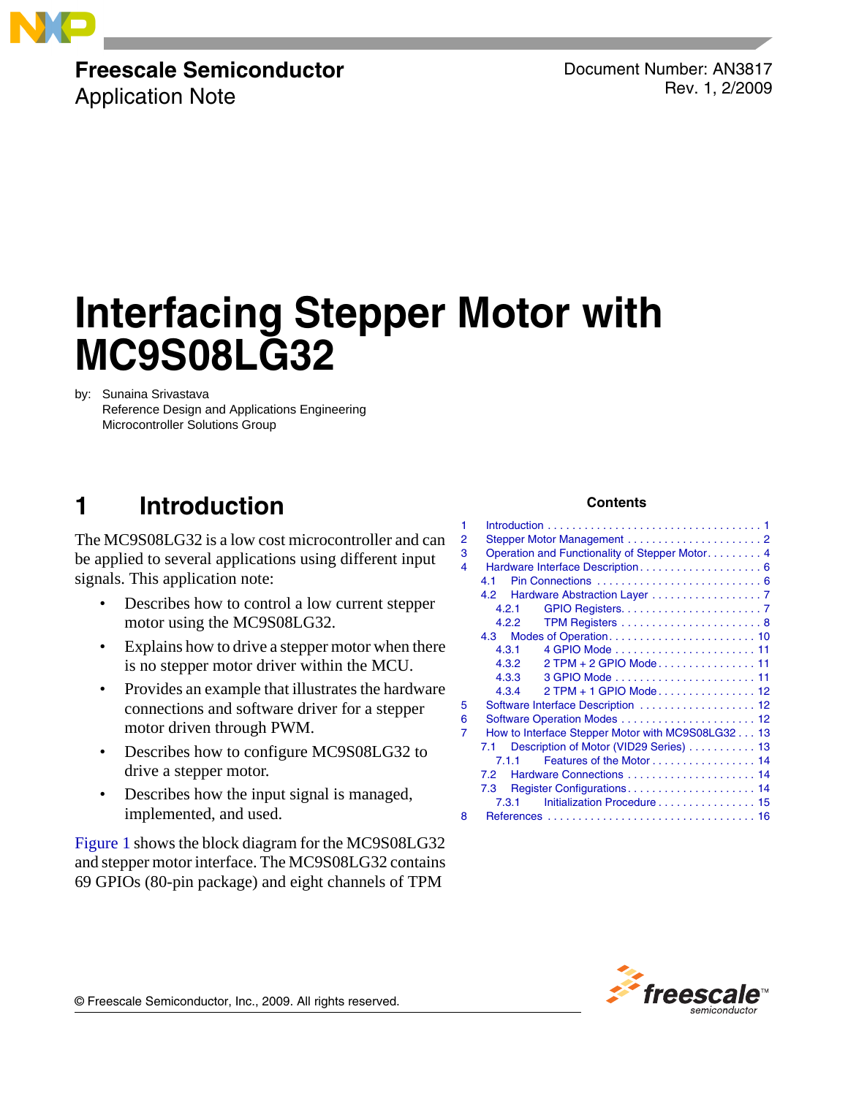

## **Freescale Semiconductor**

Application Note

Document Number: AN3817 Rev. 1, 2/2009

# **Interfacing Stepper Motor with MC9S08LG32**

by: Sunaina Srivastava Reference Design and Applications Engineering Microcontroller Solutions Group

## <span id="page-0-0"></span>**1 Introduction**

The MC9S08LG32 is a low cost microcontroller and can be applied to several applications using different input signals. This application note:

- Describes how to control a low current stepper motor using the MC9S08LG32.
- Explains how to drive a stepper motor when there is no stepper motor driver within the MCU.
- Provides an example that illustrates the hardware connections and software driver for a stepper motor driven through PWM.
- Describes how to configure MC9S08LG32 to drive a stepper motor.
- Describes how the input signal is managed, implemented, and used.

[Figure 1](#page-1-1) shows the block diagram for the MC9S08LG32 and stepper motor interface. The MC9S08LG32 contains 69 GPIOs (80-pin package) and eight channels of TPM

#### **Contents**

| 1 |                  |                                                   |
|---|------------------|---------------------------------------------------|
| 2 |                  |                                                   |
| 3 |                  | Operation and Functionality of Stepper Motor. 4   |
| 4 |                  | Hardware Interface Description 6                  |
|   | 4.1              |                                                   |
|   | 4.2              |                                                   |
|   | 4.2.1            |                                                   |
|   | 4.2.2            |                                                   |
|   |                  |                                                   |
|   | 4.3.1            |                                                   |
|   | 4.3.2            | 2 TPM + 2 GPIO Mode 11                            |
|   | 4.3.3            |                                                   |
|   | 4.3.4            | 2 TPM + 1 GPIO Mode 12                            |
| 5 |                  | Software Interface Description  12                |
| 6 |                  | Software Operation Modes  12                      |
| 7 |                  | How to Interface Stepper Motor with MC9S08LG32 13 |
|   | 7.1              | Description of Motor (VID29 Series) 13            |
|   | 7.1.1            | Features of the Motor 14                          |
|   | 7.2 <sub>1</sub> | Hardware Connections  14                          |
|   | 7.3              |                                                   |
|   | 7.3.1            | Initialization Procedure 15                       |
| 8 |                  |                                                   |



© Freescale Semiconductor, Inc., 2009. All rights reserved.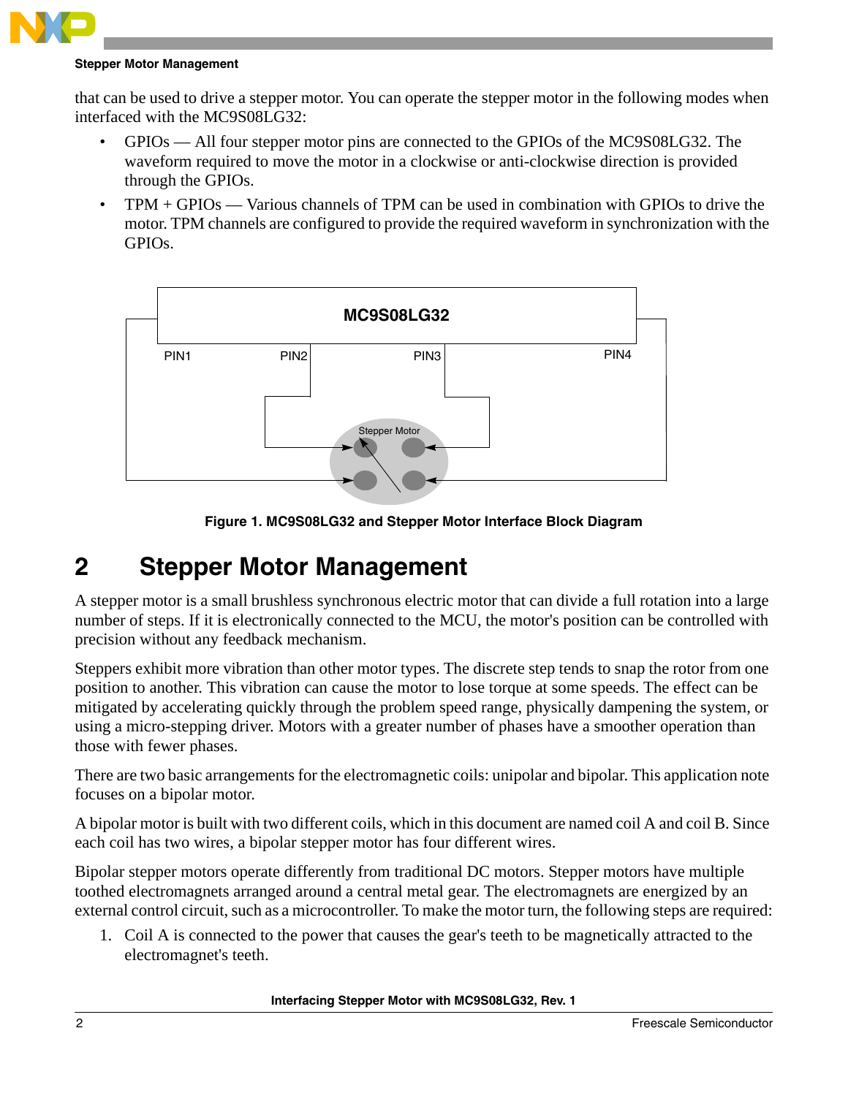#### **Stepper Motor Management**

that can be used to drive a stepper motor. You can operate the stepper motor in the following modes when interfaced with the MC9S08LG32:

- GPIOs All four stepper motor pins are connected to the GPIOs of the MC9S08LG32. The waveform required to move the motor in a clockwise or anti-clockwise direction is provided through the GPIOs.
- TPM + GPIOs Various channels of TPM can be used in combination with GPIOs to drive the motor. TPM channels are configured to provide the required waveform in synchronization with the GPIOs.



**Figure 1. MC9S08LG32 and Stepper Motor Interface Block Diagram**

## <span id="page-1-1"></span><span id="page-1-0"></span>**2 Stepper Motor Management**

A stepper motor is a small brushless synchronous electric motor that can divide a full rotation into a large number of steps. If it is electronically connected to the MCU, the motor's position can be controlled with precision without any feedback mechanism.

Steppers exhibit more vibration than other motor types. The discrete step tends to snap the rotor from one position to another. This vibration can cause the motor to lose torque at some speeds. The effect can be mitigated by accelerating quickly through the problem speed range, physically dampening the system, or using a micro-stepping driver. Motors with a greater number of phases have a smoother operation than those with fewer phases.

There are two basic arrangements for the electromagnetic coils: unipolar and bipolar. This application note focuses on a bipolar motor.

A bipolar motor is built with two different coils, which in this document are named coil A and coil B. Since each coil has two wires, a bipolar stepper motor has four different wires.

Bipolar stepper motors operate differently from traditional DC motors. Stepper motors have multiple toothed electromagnets arranged around a central metal gear. The electromagnets are energized by an external control circuit, such as a microcontroller. To make the motor turn, the following steps are required:

1. Coil A is connected to the power that causes the gear's teeth to be magnetically attracted to the electromagnet's teeth.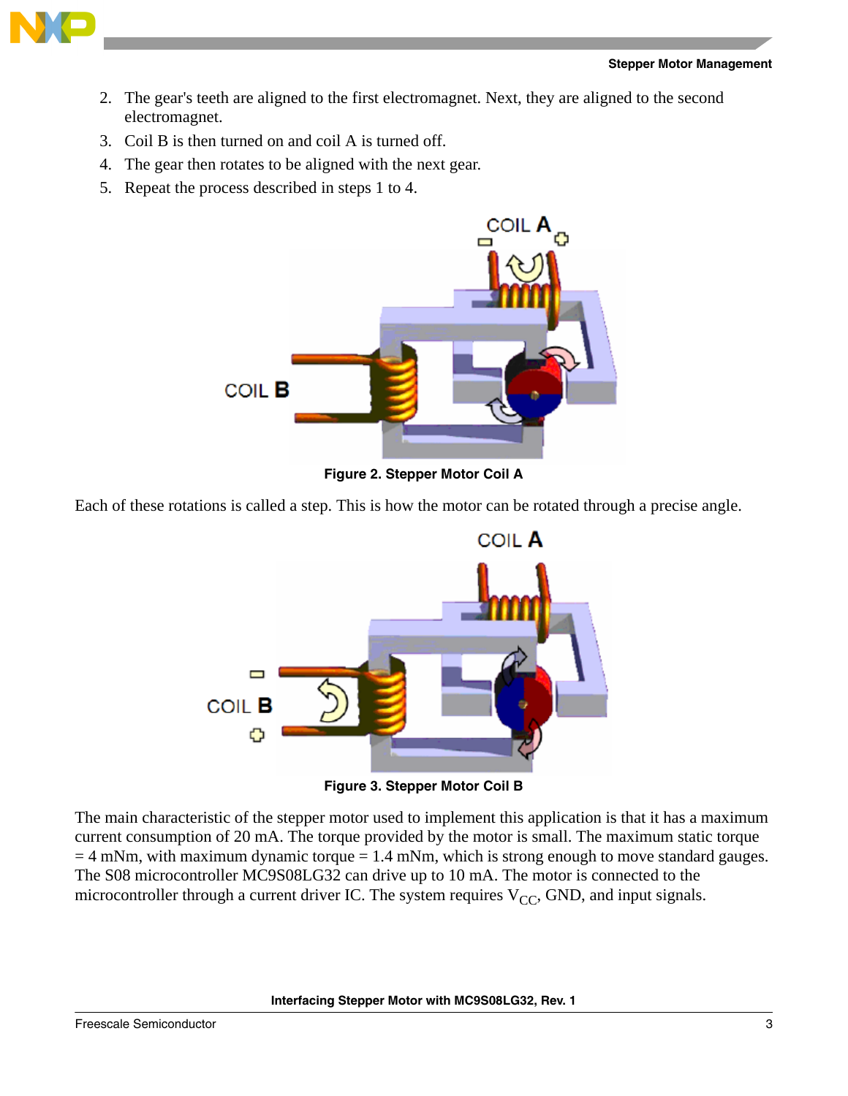



- 2. The gear's teeth are aligned to the first electromagnet. Next, they are aligned to the second electromagnet.
- 3. Coil B is then turned on and coil A is turned off.
- 4. The gear then rotates to be aligned with the next gear.
- 5. Repeat the process described in steps 1 to 4.



**Figure 2. Stepper Motor Coil A**

Each of these rotations is called a step. This is how the motor can be rotated through a precise angle.



**Figure 3. Stepper Motor Coil B**

The main characteristic of the stepper motor used to implement this application is that it has a maximum current consumption of 20 mA. The torque provided by the motor is small. The maximum static torque  $=$  4 mNm, with maximum dynamic torque  $=$  1.4 mNm, which is strong enough to move standard gauges. The S08 microcontroller MC9S08LG32 can drive up to 10 mA. The motor is connected to the microcontroller through a current driver IC. The system requires  $V_{CC}$ , GND, and input signals.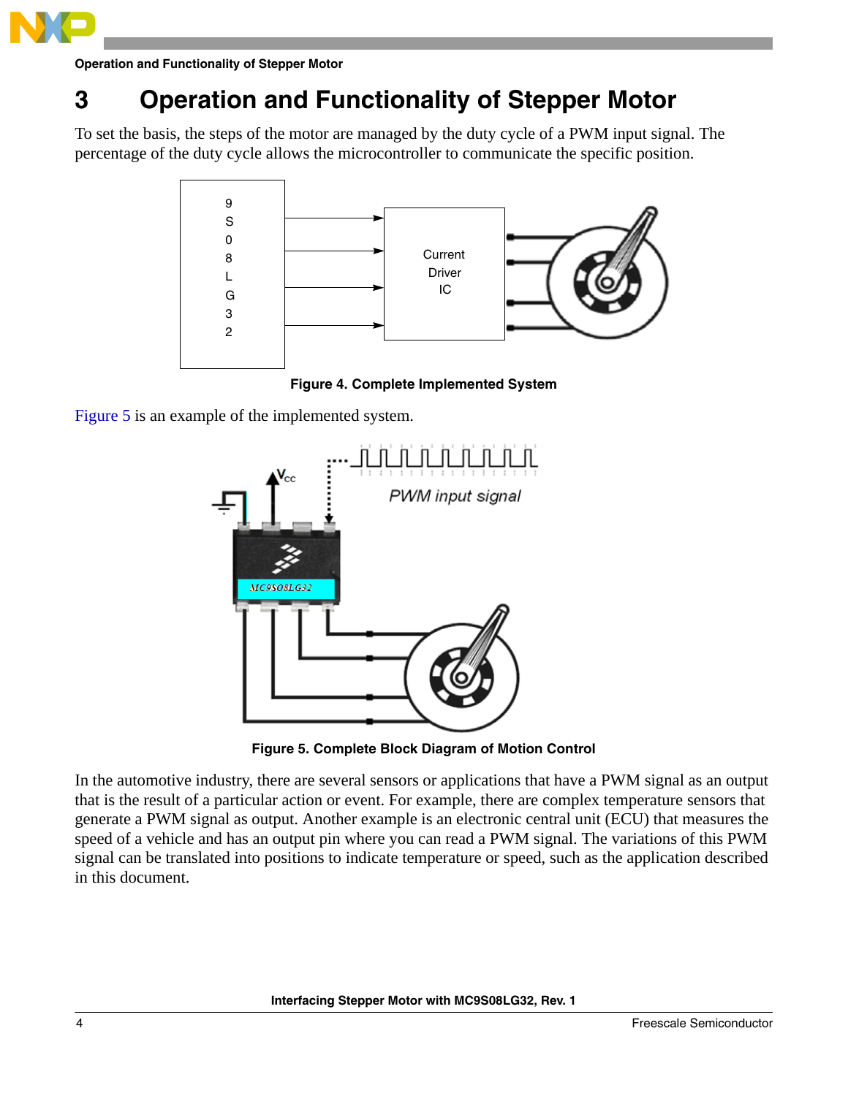

**Operation and Functionality of Stepper Motor**

## <span id="page-3-0"></span>**3 Operation and Functionality of Stepper Motor**

To set the basis, the steps of the motor are managed by the duty cycle of a PWM input signal. The percentage of the duty cycle allows the microcontroller to communicate the specific position.



**Figure 4. Complete Implemented System**

[Figure 5](#page-3-1) is an example of the implemented system.



**Figure 5. Complete Block Diagram of Motion Control**

<span id="page-3-1"></span>In the automotive industry, there are several sensors or applications that have a PWM signal as an output that is the result of a particular action or event. For example, there are complex temperature sensors that generate a PWM signal as output. Another example is an electronic central unit (ECU) that measures the speed of a vehicle and has an output pin where you can read a PWM signal. The variations of this PWM signal can be translated into positions to indicate temperature or speed, such as the application described in this document.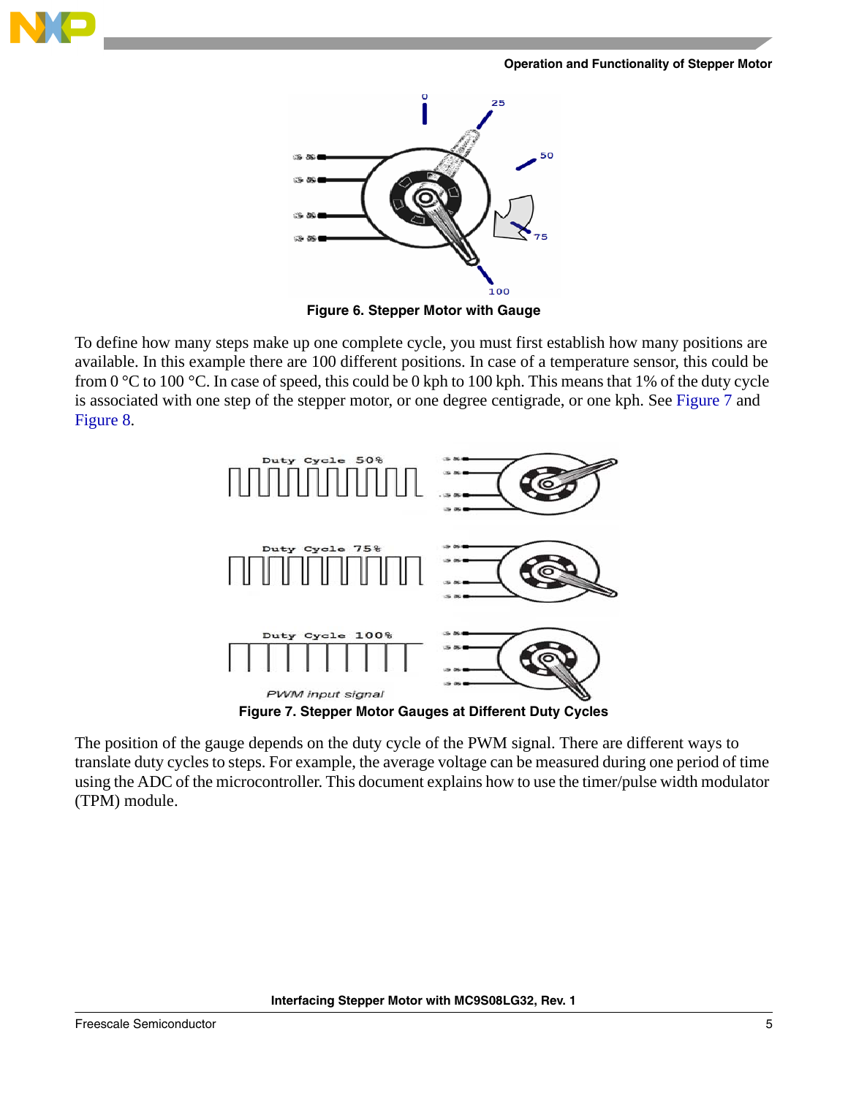

**Operation and Functionality of Stepper Motor**



**Figure 6. Stepper Motor with Gauge**

To define how many steps make up one complete cycle, you must first establish how many positions are available. In this example there are 100 different positions. In case of a temperature sensor, this could be from 0 °C to 100 °C. In case of speed, this could be 0 kph to 100 kph. This means that 1% of the duty cycle is associated with one step of the stepper motor, or one degree centigrade, or one kph. See [Figure 7](#page-4-0) and [Figure 8](#page-5-2).



**Figure 7. Stepper Motor Gauges at Different Duty Cycles**

<span id="page-4-0"></span>The position of the gauge depends on the duty cycle of the PWM signal. There are different ways to translate duty cycles to steps. For example, the average voltage can be measured during one period of time using the ADC of the microcontroller. This document explains how to use the timer/pulse width modulator (TPM) module.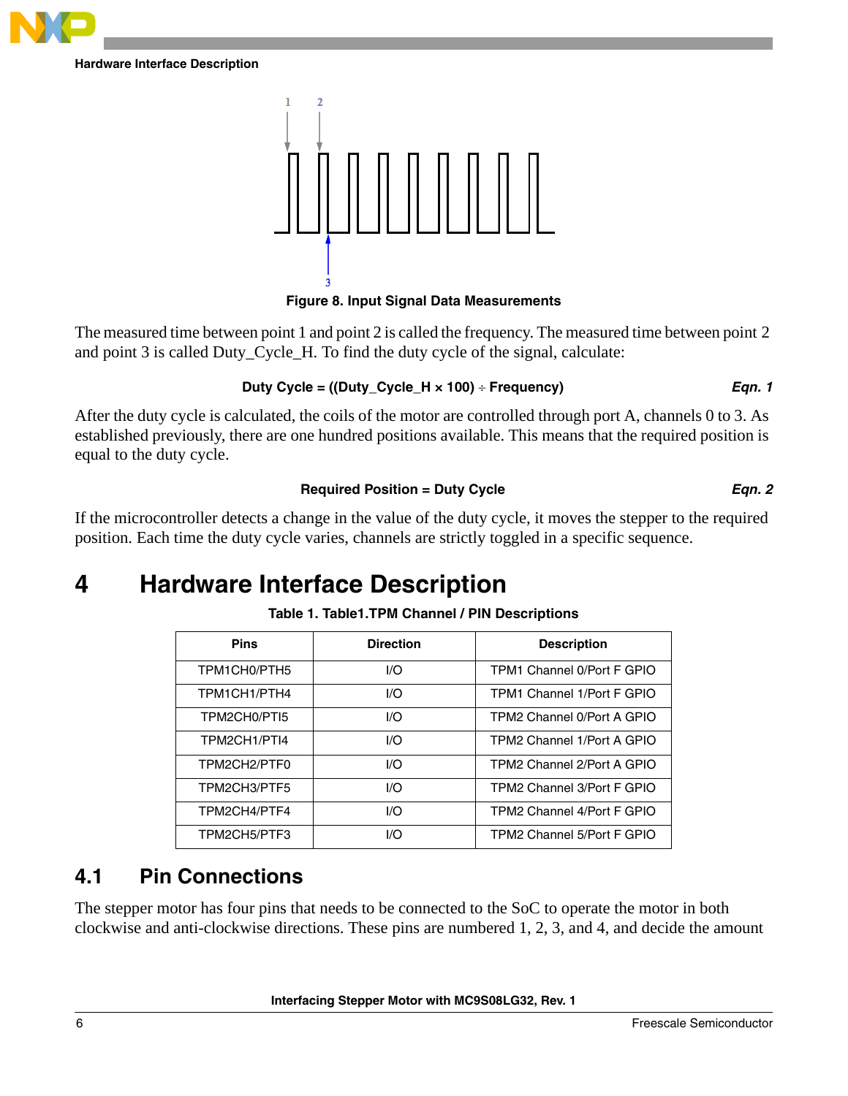



**Figure 8. Input Signal Data Measurements**

<span id="page-5-2"></span>The measured time between point 1 and point 2 is called the frequency. The measured time between point 2 and point 3 is called Duty\_Cycle\_H. To find the duty cycle of the signal, calculate:

$$
Duty Cycle = ((Duty_Cycle_H \times 100) \div Frequency)
$$

After the duty cycle is calculated, the coils of the motor are controlled through port A, channels 0 to 3. As established previously, there are one hundred positions available. This means that the required position is equal to the duty cycle.

#### **Required Position = Duty Cycle** *Eqn. 2*

If the microcontroller detects a change in the value of the duty cycle, it moves the stepper to the required position. Each time the duty cycle varies, channels are strictly toggled in a specific sequence.

## <span id="page-5-0"></span>**4 Hardware Interface Description**

| <b>Pins</b>  | <b>Direction</b> | <b>Description</b>         |
|--------------|------------------|----------------------------|
| TPM1CH0/PTH5 | 1/O              | TPM1 Channel 0/Port F GPIO |
| TPM1CH1/PTH4 | 1/O              | TPM1 Channel 1/Port F GPIO |
| TPM2CH0/PTI5 | 1/O              | TPM2 Channel 0/Port A GPIO |
| TPM2CH1/PTI4 | 1/O              | TPM2 Channel 1/Port A GPIO |
| TPM2CH2/PTF0 | 1/O              | TPM2 Channel 2/Port A GPIO |
| TPM2CH3/PTF5 | 1/O              | TPM2 Channel 3/Port F GPIO |
| TPM2CH4/PTF4 | 1/O              | TPM2 Channel 4/Port F GPIO |
| TPM2CH5/PTF3 | 1/O              | TPM2 Channel 5/Port F GPIO |

**Table 1. Table1.TPM Channel / PIN Descriptions**

### <span id="page-5-1"></span>**4.1 Pin Connections**

The stepper motor has four pins that needs to be connected to the SoC to operate the motor in both clockwise and anti-clockwise directions. These pins are numbered 1, 2, 3, and 4, and decide the amount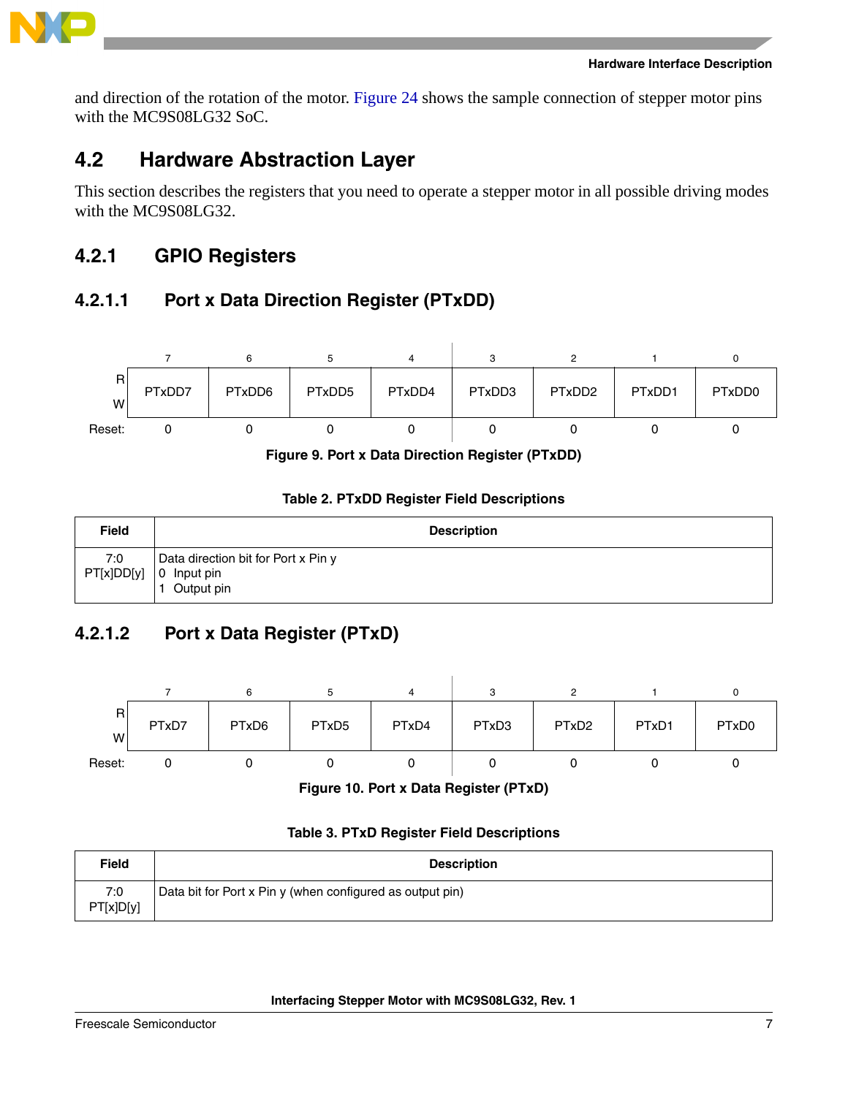

and direction of the rotation of the motor. [Figure 24](#page-13-3) shows the sample connection of stepper motor pins with the MC9S08LG32 SoC.

### <span id="page-6-0"></span>**4.2 Hardware Abstraction Layer**

This section describes the registers that you need to operate a stepper motor in all possible driving modes with the MC9S08LG32.

### <span id="page-6-1"></span>**4.2.1 GPIO Registers**

### **4.2.1.1 Port x Data Direction Register (PTxDD)**



#### **Figure 9. Port x Data Direction Register (PTxDD)**

#### **Table 2. PTxDD Register Field Descriptions**

| Field             | <b>Description</b>                                               |
|-------------------|------------------------------------------------------------------|
| 7:0<br>PT[x]DD[y] | Data direction bit for Port x Pin y<br>0 Input pin<br>Output pin |

### **4.2.1.2 Port x Data Register (PTxD)**

|              |       |       | о     |       |       |                   |       |       |
|--------------|-------|-------|-------|-------|-------|-------------------|-------|-------|
| $\mathsf{R}$ | PTxD7 | PTxD6 | PTxD5 | PTxD4 | PTxD3 | PTxD <sub>2</sub> | PTxD1 | PTxD0 |
| W            |       |       |       |       |       |                   |       |       |
| Reset:       |       |       |       |       |       |                   |       |       |

#### **Figure 10. Port x Data Register (PTxD)**

#### **Table 3. PTxD Register Field Descriptions**

| Field            | <b>Description</b>                                        |
|------------------|-----------------------------------------------------------|
| 7:0<br>PT[x]D[y] | Data bit for Port x Pin y (when configured as output pin) |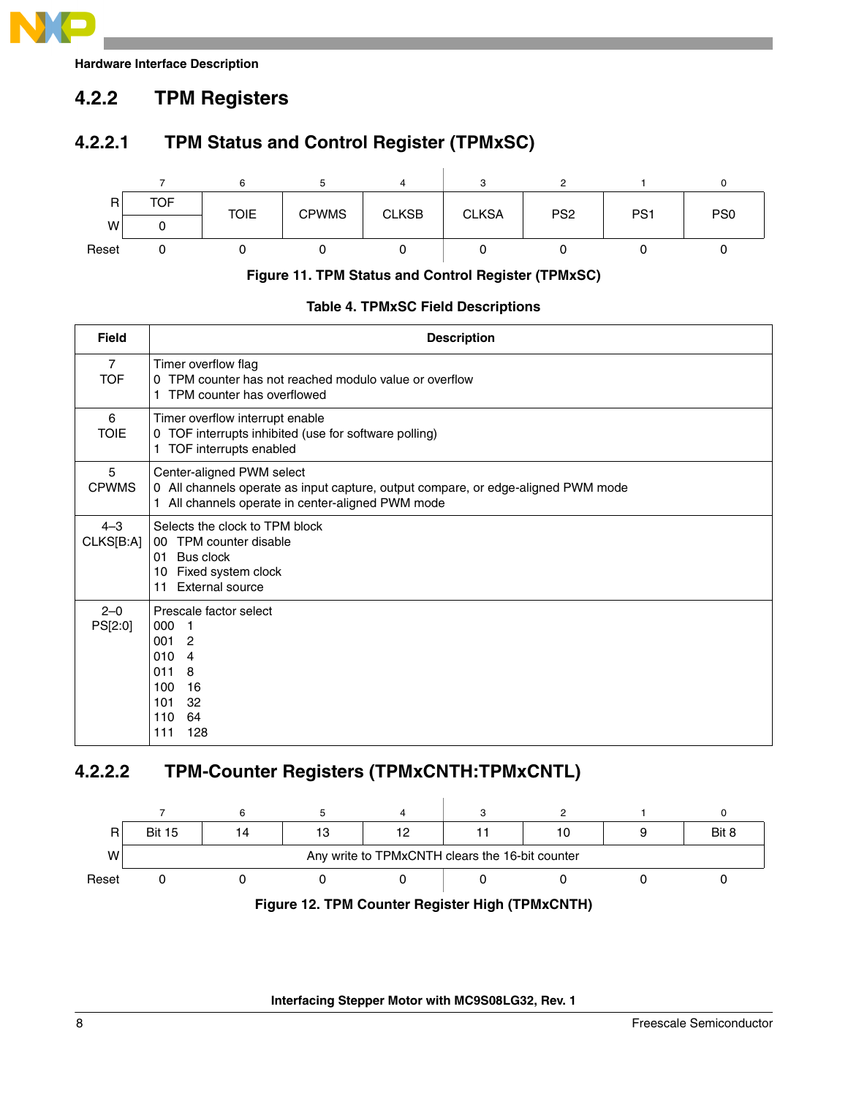

### <span id="page-7-0"></span>**4.2.2 TPM Registers**

### **4.2.2.1 TPM Status and Control Register (TPMxSC)**



#### **Figure 11. TPM Status and Control Register (TPMxSC)**

#### **Table 4. TPMxSC Field Descriptions**

| <b>Field</b>                 | <b>Description</b>                                                                                                                                                  |
|------------------------------|---------------------------------------------------------------------------------------------------------------------------------------------------------------------|
| $\overline{7}$<br><b>TOF</b> | Timer overflow flag<br>0 TPM counter has not reached modulo value or overflow<br>1 TPM counter has overflowed                                                       |
| 6<br><b>TOIE</b>             | Timer overflow interrupt enable<br>0 TOF interrupts inhibited (use for software polling)<br>1 TOF interrupts enabled                                                |
| 5<br><b>CPWMS</b>            | Center-aligned PWM select<br>0 All channels operate as input capture, output compare, or edge-aligned PWM mode<br>1 All channels operate in center-aligned PWM mode |
| $4 - 3$<br>CLKS[B:A]         | Selects the clock to TPM block<br>00 TPM counter disable<br>Bus clock<br>01<br>Fixed system clock<br>10<br>External source<br>11                                    |
| $2 - 0$<br>PS[2:0]           | Prescale factor select<br>000<br>1<br>001<br>$\overline{c}$<br>010<br>$\overline{4}$<br>8<br>011<br>100<br>16<br>32<br>101<br>110<br>64<br>111<br>128               |

### **4.2.2.2 TPM-Counter Registers (TPMxCNTH:TPMxCNTL)**



**Figure 12. TPM Counter Register High (TPMxCNTH)**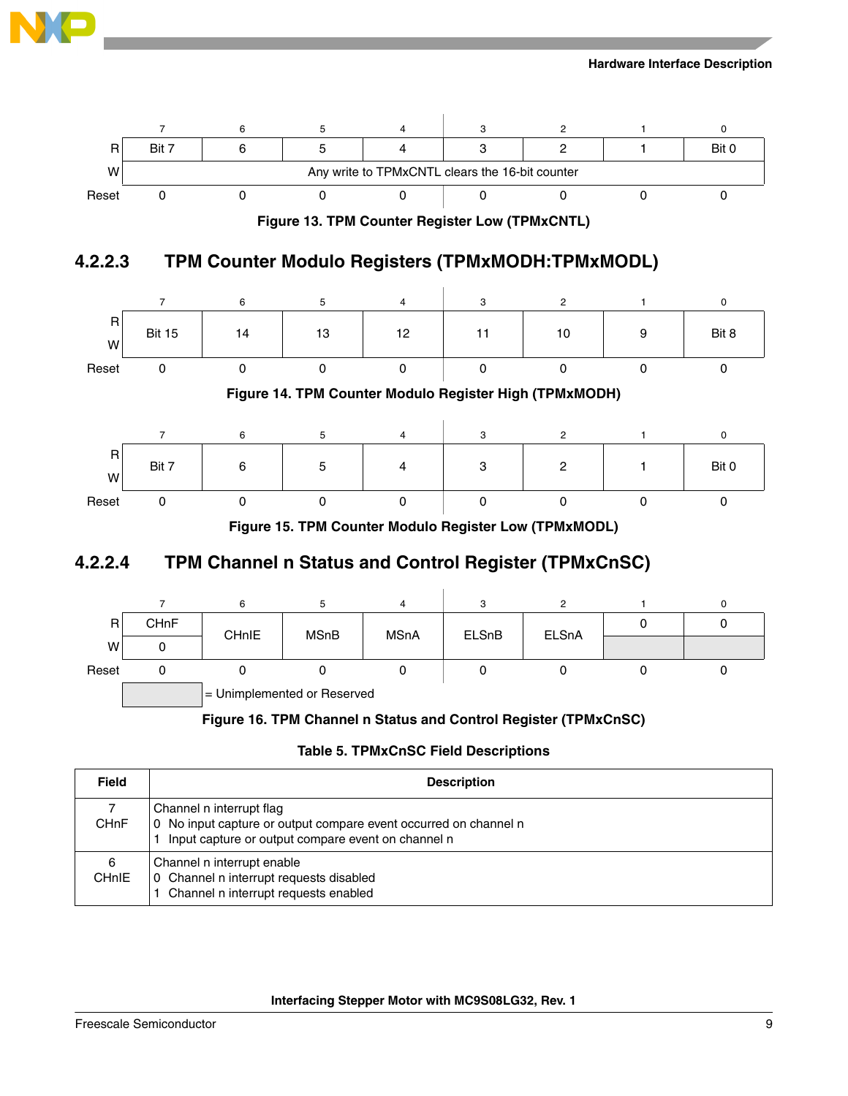





**Figure 15. TPM Counter Modulo Register Low (TPMxMODL)**

### **4.2.2.4 TPM Channel n Status and Control Register (TPMxCnSC)**



#### **Figure 16. TPM Channel n Status and Control Register (TPMxCnSC)**

#### **Table 5. TPMxCnSC Field Descriptions**

| Field                        | <b>Description</b>                                                                                                                                   |
|------------------------------|------------------------------------------------------------------------------------------------------------------------------------------------------|
| <b>CH<sub>nF</sub></b>       | Channel n interrupt flag<br>0 No input capture or output compare event occurred on channel n<br>1 Input capture or output compare event on channel n |
| 6<br><b>CH<sub>n</sub>IE</b> | Channel n interrupt enable<br>0 Channel n interrupt requests disabled<br>1 Channel n interrupt requests enabled                                      |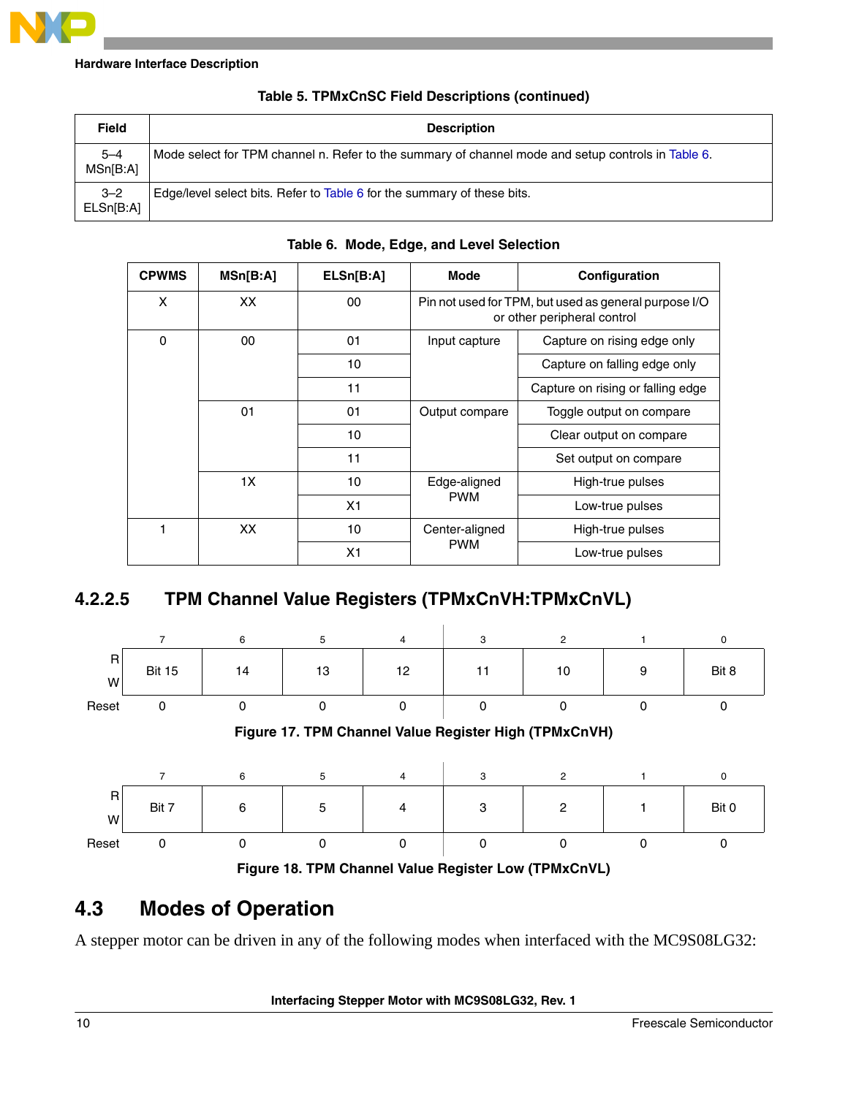

| <b>Field</b>         | <b>Description</b>                                                                                 |
|----------------------|----------------------------------------------------------------------------------------------------|
| $5 - 4$<br>MSn[B:A]  | Mode select for TPM channel n. Refer to the summary of channel mode and setup controls in Table 6. |
| $3 - 2$<br>ELSn[B:A] | Edge/level select bits. Refer to Table 6 for the summary of these bits.                            |

#### **Table 5. TPMxCnSC Field Descriptions (continued)**

<span id="page-9-1"></span>

| <b>CPWMS</b>   | MSn[B:A] | ELSn[B:A]      | <b>Mode</b>                                                                          | Configuration                     |  |
|----------------|----------|----------------|--------------------------------------------------------------------------------------|-----------------------------------|--|
| X              | XX       | 00             | Pin not used for TPM, but used as general purpose I/O<br>or other peripheral control |                                   |  |
| 0              | 00       | 01             | Input capture                                                                        | Capture on rising edge only       |  |
|                |          | 10             |                                                                                      | Capture on falling edge only      |  |
|                |          | 11             |                                                                                      | Capture on rising or falling edge |  |
|                | 01       | 01             | Output compare                                                                       | Toggle output on compare          |  |
|                |          | 10             |                                                                                      | Clear output on compare           |  |
|                |          | 11             |                                                                                      | Set output on compare             |  |
|                | 1X       | 10             | Edge-aligned                                                                         | High-true pulses                  |  |
|                |          | X <sub>1</sub> | <b>PWM</b>                                                                           | Low-true pulses                   |  |
|                | XX       | 10             | Center-aligned                                                                       | High-true pulses                  |  |
| X <sub>1</sub> |          | <b>PWM</b>     | Low-true pulses                                                                      |                                   |  |

#### **Table 6. Mode, Edge, and Level Selection**

### **4.2.2.5 TPM Channel Value Registers (TPMxCnVH:TPMxCnVL)**



**Figure 18. TPM Channel Value Register Low (TPMxCnVL)**

### <span id="page-9-0"></span>**4.3 Modes of Operation**

A stepper motor can be driven in any of the following modes when interfaced with the MC9S08LG32: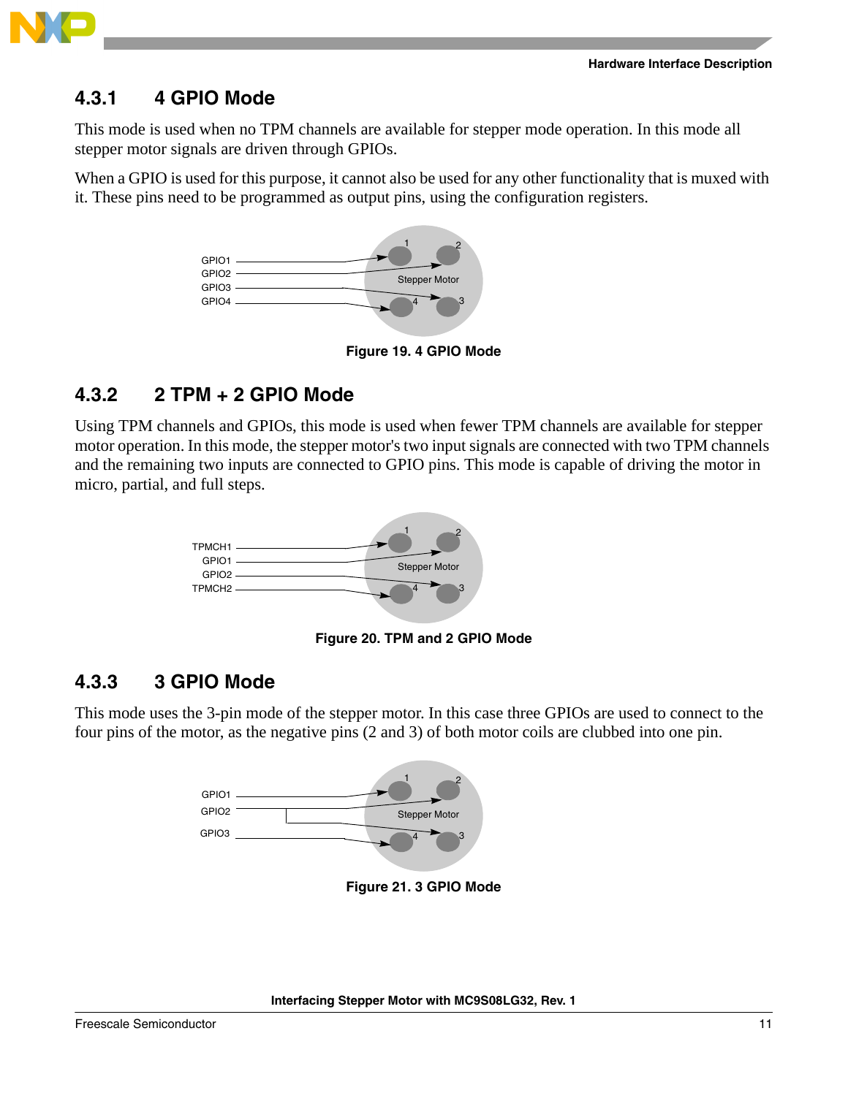

### <span id="page-10-0"></span>**4.3.1 4 GPIO Mode**

This mode is used when no TPM channels are available for stepper mode operation. In this mode all stepper motor signals are driven through GPIOs.

When a GPIO is used for this purpose, it cannot also be used for any other functionality that is muxed with it. These pins need to be programmed as output pins, using the configuration registers.



**Figure 19. 4 GPIO Mode**

### <span id="page-10-1"></span>**4.3.2 2 TPM + 2 GPIO Mode**

Using TPM channels and GPIOs, this mode is used when fewer TPM channels are available for stepper motor operation. In this mode, the stepper motor's two input signals are connected with two TPM channels and the remaining two inputs are connected to GPIO pins. This mode is capable of driving the motor in micro, partial, and full steps.



**Figure 20. TPM and 2 GPIO Mode**

### <span id="page-10-2"></span>**4.3.3 3 GPIO Mode**

This mode uses the 3-pin mode of the stepper motor. In this case three GPIOs are used to connect to the four pins of the motor, as the negative pins (2 and 3) of both motor coils are clubbed into one pin.



**Figure 21. 3 GPIO Mode**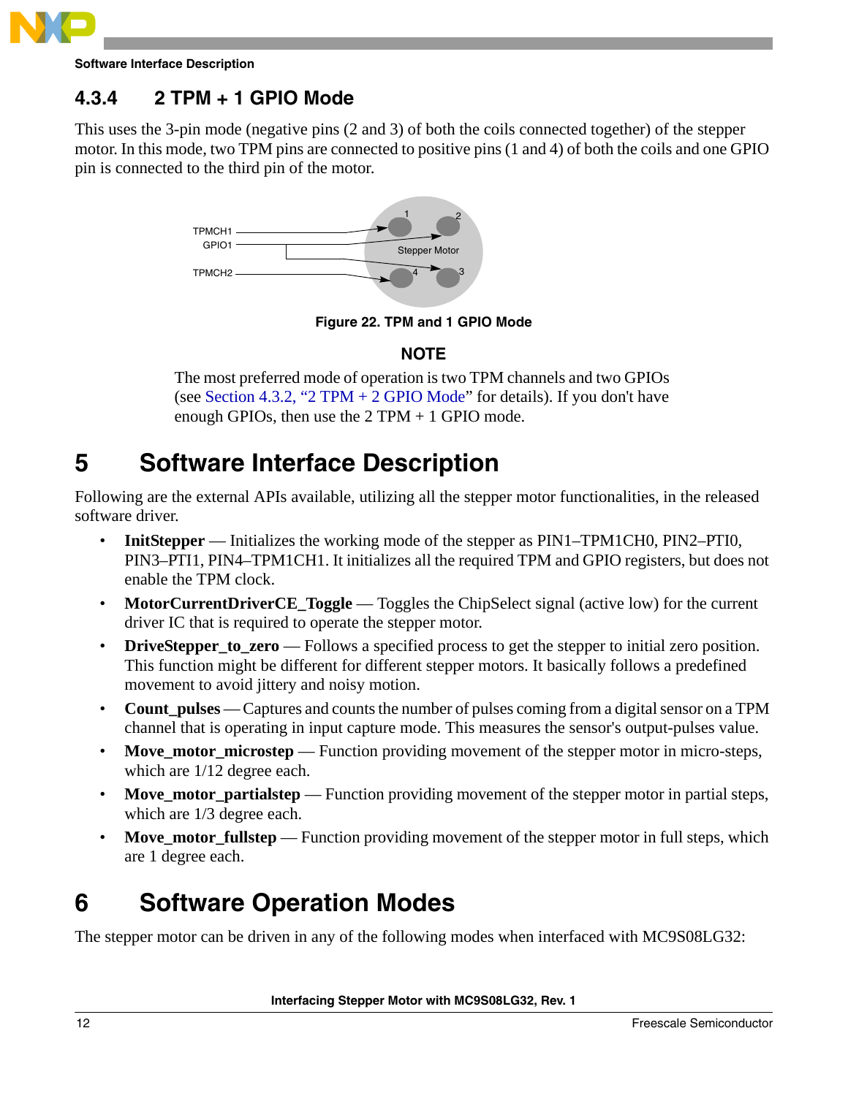

**Software Interface Description**

### <span id="page-11-0"></span>**4.3.4 2 TPM + 1 GPIO Mode**

This uses the 3-pin mode (negative pins (2 and 3) of both the coils connected together) of the stepper motor. In this mode, two TPM pins are connected to positive pins (1 and 4) of both the coils and one GPIO pin is connected to the third pin of the motor.



**Figure 22. TPM and 1 GPIO Mode**

### **NOTE**

The most preferred mode of operation is two TPM channels and two GPIOs (see Section 4.3.2, "2 TPM  $+ 2$  GPIO Mode" for details). If you don't have enough GPIOs, then use the  $2$  TPM  $+$  1 GPIO mode.

## <span id="page-11-1"></span>**5 Software Interface Description**

Following are the external APIs available, utilizing all the stepper motor functionalities, in the released software driver.

- **InitStepper** Initializes the working mode of the stepper as PIN1–TPM1CH0, PIN2–PTI0, PIN3–PTI1, PIN4–TPM1CH1. It initializes all the required TPM and GPIO registers, but does not enable the TPM clock.
- **MotorCurrentDriverCE** Toggle Toggles the ChipSelect signal (active low) for the current driver IC that is required to operate the stepper motor.
- **DriveStepper\_to\_zero** Follows a specified process to get the stepper to initial zero position. This function might be different for different stepper motors. It basically follows a predefined movement to avoid jittery and noisy motion.
- **Count pulses** Captures and counts the number of pulses coming from a digital sensor on a TPM channel that is operating in input capture mode. This measures the sensor's output-pulses value.
- **Move motor microstep** Function providing movement of the stepper motor in micro-steps, which are 1/12 degree each.
- **Move\_motor\_partialstep** Function providing movement of the stepper motor in partial steps, which are 1/3 degree each.
- **Move\_motor\_fullstep** Function providing movement of the stepper motor in full steps, which are 1 degree each.

## <span id="page-11-2"></span>**6 Software Operation Modes**

The stepper motor can be driven in any of the following modes when interfaced with MC9S08LG32: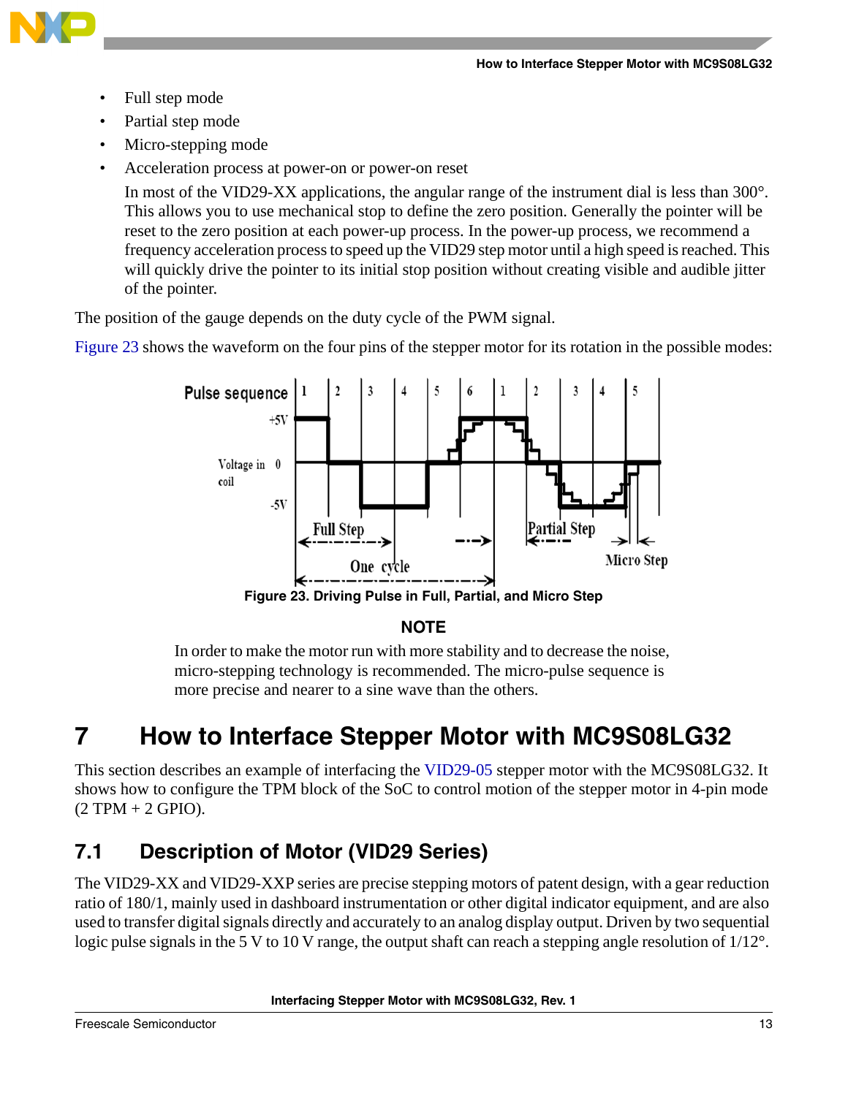

- Full step mode
- Partial step mode
- Micro-stepping mode
- Acceleration process at power-on or power-on reset

In most of the VID29-XX applications, the angular range of the instrument dial is less than 300°. This allows you to use mechanical stop to define the zero position. Generally the pointer will be reset to the zero position at each power-up process. In the power-up process, we recommend a frequency acceleration process to speed up the VID29 step motor until a high speed is reached. This will quickly drive the pointer to its initial stop position without creating visible and audible jitter of the pointer.

The position of the gauge depends on the duty cycle of the PWM signal.

[Figure 23](#page-12-2) shows the waveform on the four pins of the stepper motor for its rotation in the possible modes:



**Figure 23. Driving Pulse in Full, Partial, and Micro Step**

### **NOTE**

<span id="page-12-2"></span>In order to make the motor run with more stability and to decrease the noise, micro-stepping technology is recommended. The micro-pulse sequence is more precise and nearer to a sine wave than the others.

## <span id="page-12-0"></span>**7 How to Interface Stepper Motor with MC9S08LG32**

This section describes an example of interfacing the [VID29-05](http://www.vid.wellgain.com/en/Photo_Class.asp?ClassID=1) stepper motor with the MC9S08LG32. It shows how to configure the TPM block of the SoC to control motion of the stepper motor in 4-pin mode  $(2$  TPM  $+$  2 GPIO).

### <span id="page-12-1"></span>**7.1 Description of Motor (VID29 Series)**

The VID29-XX and VID29-XXP series are precise stepping motors of patent design, with a gear reduction ratio of 180/1, mainly used in dashboard instrumentation or other digital indicator equipment, and are also used to transfer digital signals directly and accurately to an analog display output. Driven by two sequential logic pulse signals in the 5 V to 10 V range, the output shaft can reach a stepping angle resolution of  $1/12^{\circ}$ .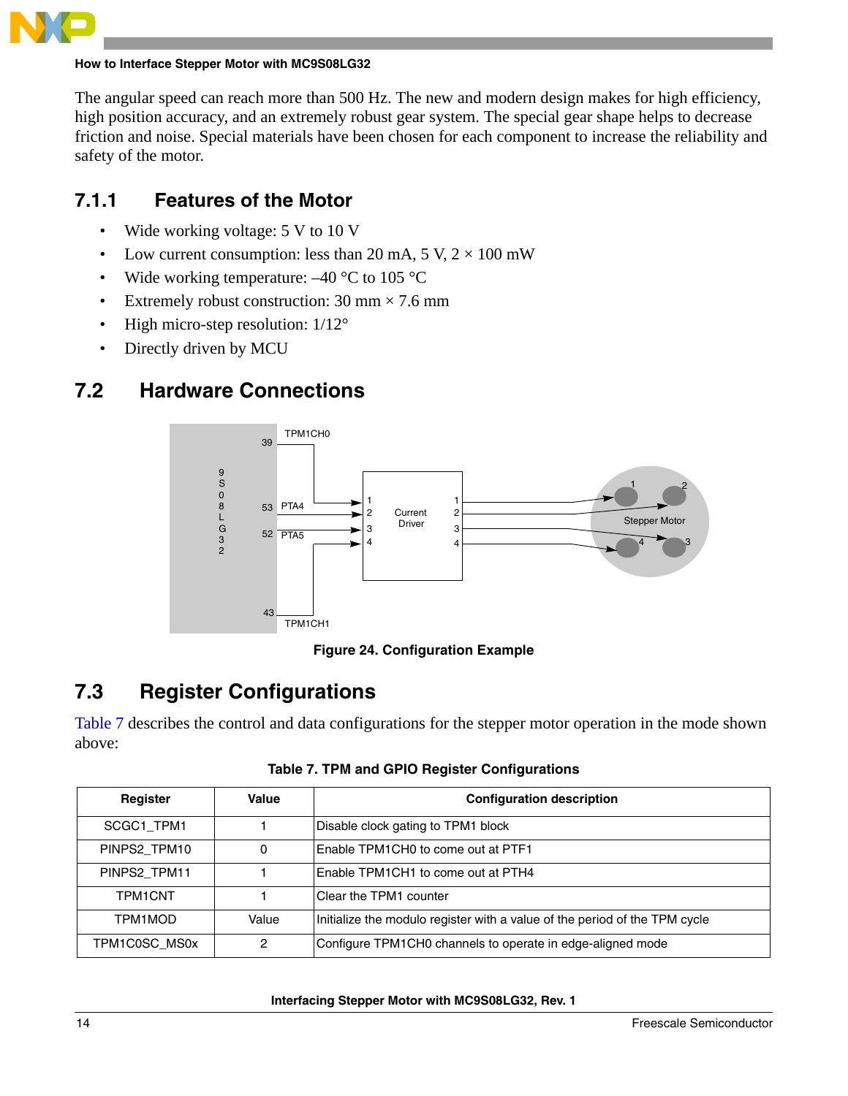

#### **How to Interface Stepper Motor with MC9S08LG32**

The angular speed can reach more than 500 Hz. The new and modern design makes for high efficiency, high position accuracy, and an extremely robust gear system. The special gear shape helps to decrease friction and noise. Special materials have been chosen for each component to increase the reliability and safety of the motor.

### <span id="page-13-0"></span>**7.1.1 Features of the Motor**

- Wide working voltage: 5 V to 10 V
- Low current consumption: less than 20 mA,  $5 \text{ V}$ ,  $2 \times 100 \text{ mW}$
- Wide working temperature:  $-40$  °C to 105 °C
- Extremely robust construction:  $30 \text{ mm} \times 7.6 \text{ mm}$
- High micro-step resolution:  $1/12^{\circ}$
- Directly driven by MCU

### <span id="page-13-1"></span>**7.2 Hardware Connections**



**Figure 24. Configuration Example**

### <span id="page-13-3"></span><span id="page-13-2"></span>**7.3 Register Configurations**

[Table 7](#page-13-4) describes the control and data configurations for the stepper motor operation in the mode shown above:

<span id="page-13-4"></span>

| Register       | <b>Value</b>  | <b>Configuration description</b>                                           |
|----------------|---------------|----------------------------------------------------------------------------|
| SCGC1 TPM1     |               | Disable clock gating to TPM1 block                                         |
| PINPS2 TPM10   | 0             | Enable TPM1CH0 to come out at PTF1                                         |
| PINPS2 TPM11   |               | Enable TPM1CH1 to come out at PTH4                                         |
| <b>TPM1CNT</b> |               | Clear the TPM1 counter                                                     |
| TPM1MOD        | Value         | Initialize the modulo register with a value of the period of the TPM cycle |
| TPM1C0SC MS0x  | $\mathcal{P}$ | Configure TPM1CH0 channels to operate in edge-aligned mode                 |

**Table 7. TPM and GPIO Register Configurations**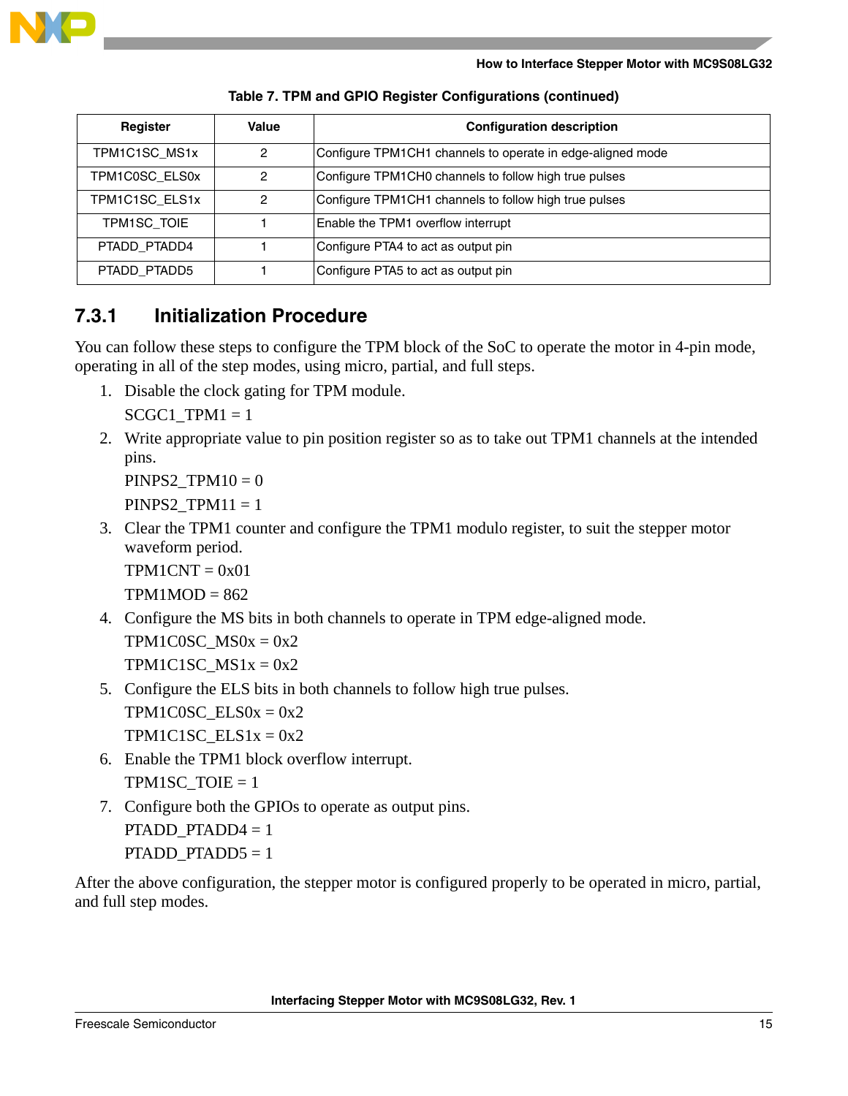

| Register           | Value | <b>Configuration description</b>                           |
|--------------------|-------|------------------------------------------------------------|
| TPM1C1SC MS1x      | 2     | Configure TPM1CH1 channels to operate in edge-aligned mode |
| TPM1C0SC_ELS0x     | 2     | Configure TPM1CH0 channels to follow high true pulses      |
| TPM1C1SC_ELS1x     | 2     | Configure TPM1CH1 channels to follow high true pulses      |
| <b>TPM1SC TOIE</b> |       | Enable the TPM1 overflow interrupt                         |
| PTADD PTADD4       |       | Configure PTA4 to act as output pin                        |
| PTADD PTADD5       |       | Configure PTA5 to act as output pin                        |

**Table 7. TPM and GPIO Register Configurations (continued)**

### <span id="page-14-0"></span>**7.3.1 Initialization Procedure**

You can follow these steps to configure the TPM block of the SoC to operate the motor in 4-pin mode, operating in all of the step modes, using micro, partial, and full steps.

- 1. Disable the clock gating for TPM module.  $SCGC1$  TPM1 = 1
- 2. Write appropriate value to pin position register so as to take out TPM1 channels at the intended pins.

PINPS2  $TPM10 = 0$ PINPS2  $TPM11 = 1$ 

3. Clear the TPM1 counter and configure the TPM1 modulo register, to suit the stepper motor waveform period.

 $TPM1CNT = 0x01$  $TPM1MOD = 862$ 

4. Configure the MS bits in both channels to operate in TPM edge-aligned mode.

TPM1C0SC  $MS0x = 0x2$ 

TPM1C1SC  $MS1x = 0x2$ 

- 5. Configure the ELS bits in both channels to follow high true pulses. TPM1C0SC  $ELS0x = 0x2$ TPM1C1SC  $ELS1x = 0x2$
- 6. Enable the TPM1 block overflow interrupt.  $TPM1SC_TOIE = 1$
- 7. Configure both the GPIOs to operate as output pins. PTADD  $PTADD4 = 1$ PTADD  $PTADD5 = 1$

After the above configuration, the stepper motor is configured properly to be operated in micro, partial, and full step modes.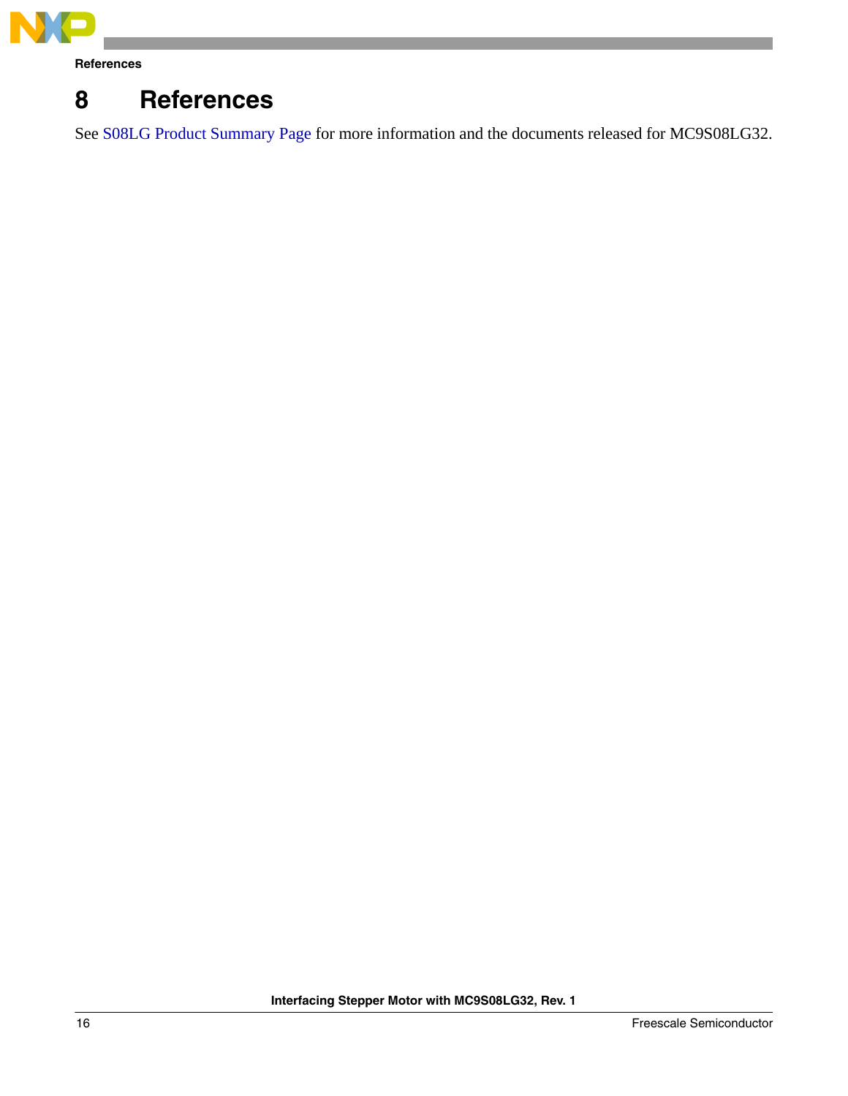

**References**

## <span id="page-15-0"></span>**8 References**

See [S08LG Product Summary Page](http://www.freescale.com/webapp/sps/site/prod_summary.jsp?code=S08LG&fsrch=1) for more information and the documents released for MC9S08LG32.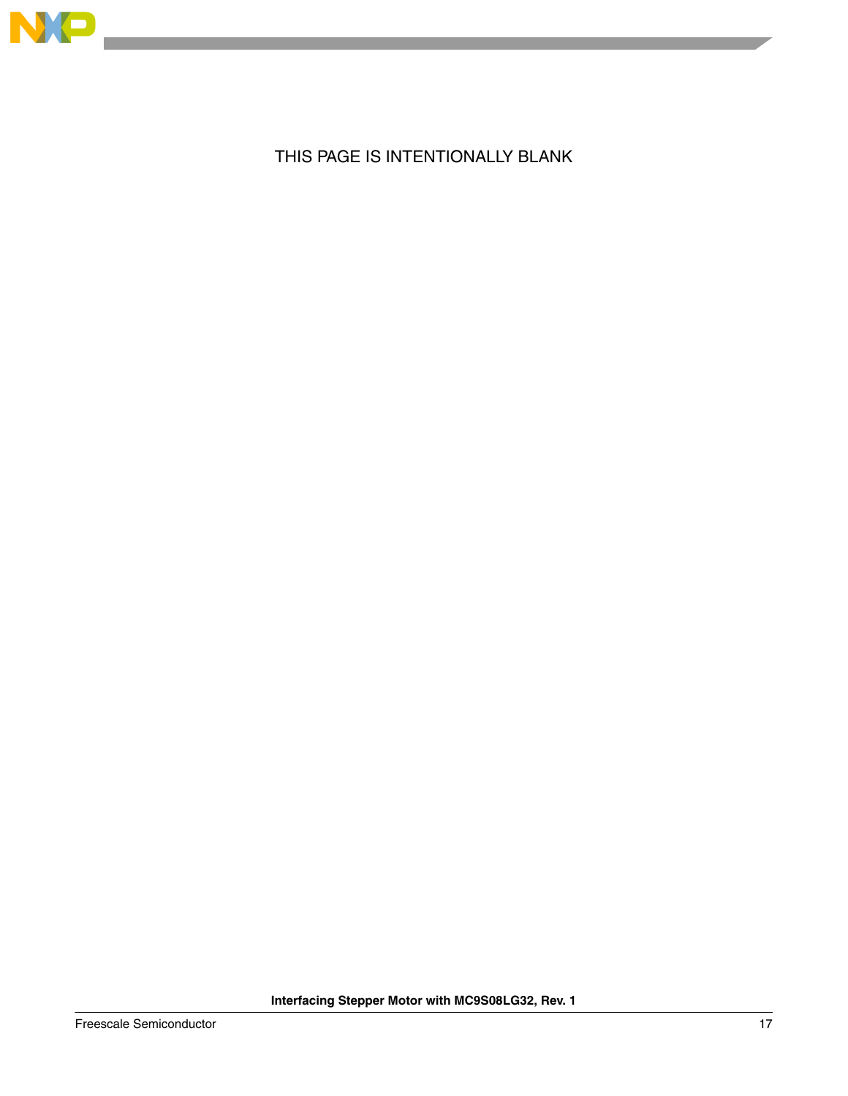

THIS PAGE IS INTENTIONALLY BLANK